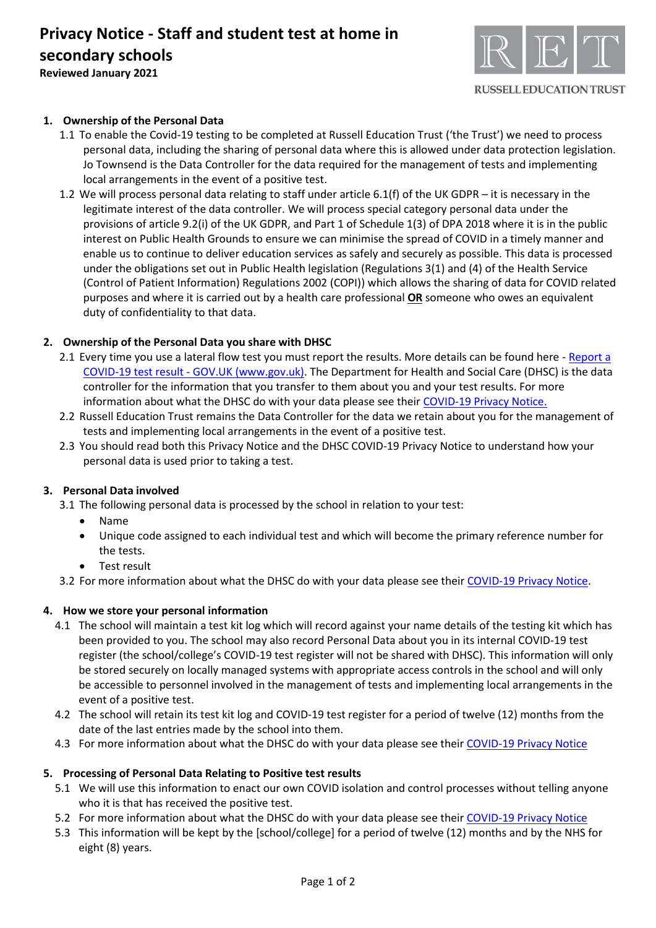

# **1. Ownership of the Personal Data**

- 1.1 To enable the Covid-19 testing to be completed at Russell Education Trust ('the Trust') we need to process personal data, including the sharing of personal data where this is allowed under data protection legislation. Jo Townsend is the Data Controller for the data required for the management of tests and implementing local arrangements in the event of a positive test.
- 1.2 We will process personal data relating to staff under article 6.1(f) of the UK GDPR it is necessary in the legitimate interest of the data controller. We will process special category personal data under the provisions of article 9.2(i) of the UK GDPR, and Part 1 of Schedule 1(3) of DPA 2018 where it is in the public interest on Public Health Grounds to ensure we can minimise the spread of COVID in a timely manner and enable us to continue to deliver education services as safely and securely as possible. This data is processed under the obligations set out in Public Health legislation (Regulations 3(1) and (4) of the Health Service (Control of Patient Information) Regulations 2002 (COPI)) which allows the sharing of data for COVID related purposes and where it is carried out by a health care professional **OR** someone who owes an equivalent duty of confidentiality to that data.

# **2. Ownership of the Personal Data you share with DHSC**

- 2.1 Every time you use a lateral flow test you must report the results. More details can be found here Report a COVID-19 test result - [GOV.UK \(www.gov.uk\).](https://www.gov.uk/report-covid19-result) The Department for Health and Social Care (DHSC) is the data controller for the information that you transfer to them about you and your test results. For more information about what the DHSC do with your data please see their [COVID-19 Privacy Notice.](https://www.gov.uk/government/publications/coronavirus-covid-19-testing-privacy-information)
- 2.2 Russell Education Trust remains the Data Controller for the data we retain about you for the management of tests and implementing local arrangements in the event of a positive test.
- 2.3 You should read both this Privacy Notice and the DHSC COVID-19 Privacy Notice to understand how your personal data is used prior to taking a test.

#### **3. Personal Data involved**

3.1 The following personal data is processed by the school in relation to your test:

- Name
- Unique code assigned to each individual test and which will become the primary reference number for the tests.
- Test result

3.2 For more information about what the DHSC do with your data please see their [COVID-19 Privacy Notice.](https://www.gov.uk/government/publications/coronavirus-covid-19-testing-privacy-information)

# **4. How we store your personal information**

- 4.1 The school will maintain a test kit log which will record against your name details of the testing kit which has been provided to you. The school may also record Personal Data about you in its internal COVID-19 test register (the school/college's COVID-19 test register will not be shared with DHSC). This information will only be stored securely on locally managed systems with appropriate access controls in the school and will only be accessible to personnel involved in the management of tests and implementing local arrangements in the event of a positive test.
- 4.2 The school will retain its test kit log and COVID-19 test register for a period of twelve (12) months from the date of the last entries made by the school into them.
- 4.3 For more information about what the DHSC do with your data please see thei[r COVID-19 Privacy Notice](https://www.gov.uk/government/publications/coronavirus-covid-19-testing-privacy-information)

#### **5. Processing of Personal Data Relating to Positive test results**

- 5.1 We will use this information to enact our own COVID isolation and control processes without telling anyone who it is that has received the positive test.
- 5.2 For more information about what the DHSC do with your data please see thei[r COVID-19 Privacy Notice](https://www.gov.uk/government/publications/coronavirus-covid-19-testing-privacy-information)
- 5.3 This information will be kept by the [school/college] for a period of twelve (12) months and by the NHS for eight (8) years.